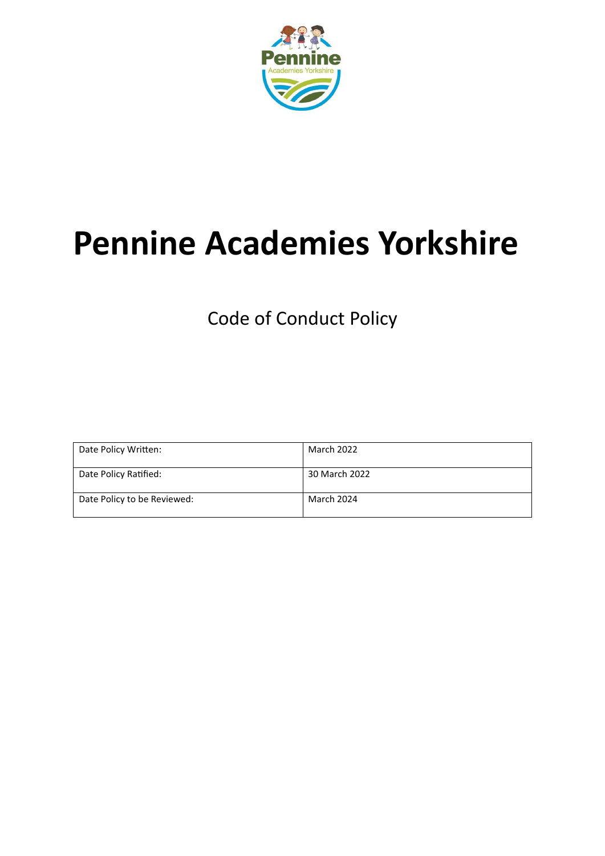

# **Pennine Academies Yorkshire**

Code of Conduct Policy

| Date Policy Written:        | March 2022        |
|-----------------------------|-------------------|
| Date Policy Ratified:       | 30 March 2022     |
| Date Policy to be Reviewed: | <b>March 2024</b> |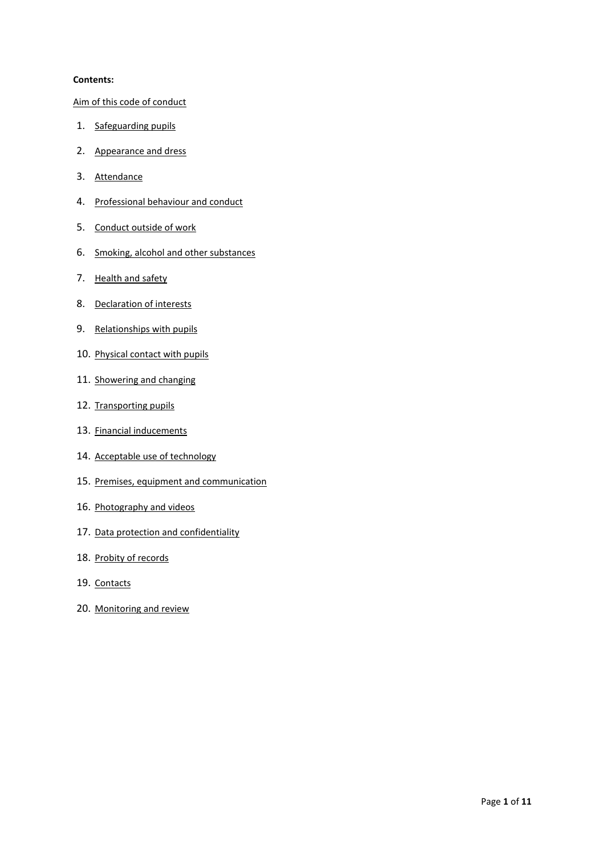### <span id="page-1-0"></span>**Contents:**

[Aim of this code of conduct](#page-1-0)

- 1. [Safeguarding pupils](#page-3-0)
- 2. [Appearance and dress](#page-4-0)
- 3. [Attendance](#page-5-0)
- 4. [Professional behaviour and conduct](#page-5-1)
- 5. [Conduct outside of work](#page-5-2)
- 6. [Smoking, alcohol and other substances](#page-6-0)
- 7. [Health and safety](#page-6-1)
- 8. [Declaration of interests](#page-6-2)
- 9. [Relationships with pupils](#page-7-0)
- 10. Physical contact with pupils
- 11. [Showering and changing](#page-8-0)
- 12. Transporting pupils
- 13. [Financial inducements](#page-8-2)
- 14. Acceptable use of technology
- 15. [Premises, equipment and communication](#page-9-0)
- 16. Photography and videos
- 17. Data protection and confidentiality
- 18. Probity of records
- 19. [Contacts](#page-11-0)
- 20. [Monitoring and review](#page-11-1)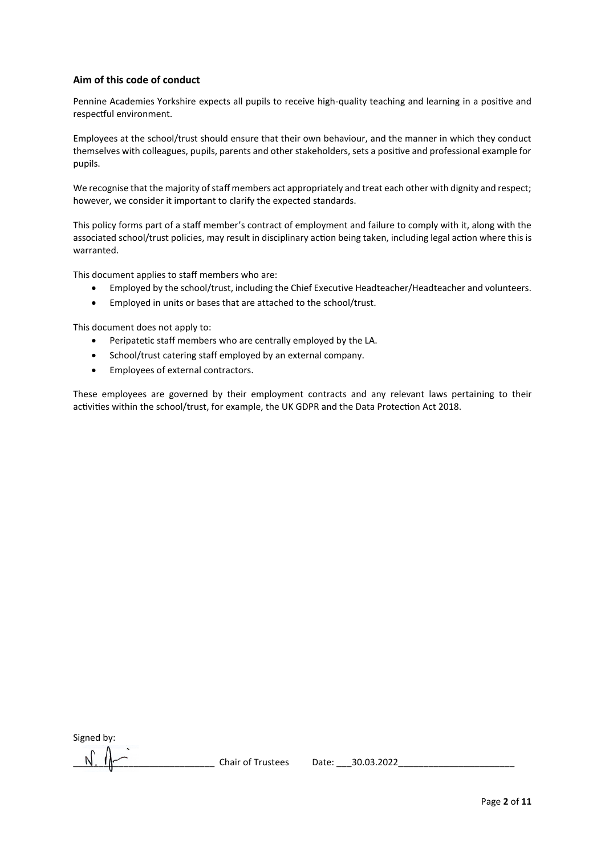## **Aim of this code of conduct**

Pennine Academies Yorkshire expects all pupils to receive high-quality teaching and learning in a positive and respectful environment.

Employees at the school/trust should ensure that their own behaviour, and the manner in which they conduct themselves with colleagues, pupils, parents and other stakeholders, sets a positive and professional example for pupils.

We recognise that the majority of staff members act appropriately and treat each other with dignity and respect; however, we consider it important to clarify the expected standards.

This policy forms part of a staff member's contract of employment and failure to comply with it, along with the associated school/trust policies, may result in disciplinary action being taken, including legal action where this is warranted.

This document applies to staff members who are:

- Employed by the school/trust, including the Chief Executive Headteacher/Headteacher and volunteers.
- Employed in units or bases that are attached to the school/trust.

This document does not apply to:

- Peripatetic staff members who are centrally employed by the LA.
- School/trust catering staff employed by an external company.
- Employees of external contractors.

These employees are governed by their employment contracts and any relevant laws pertaining to their activities within the school/trust, for example, the UK GDPR and the Data Protection Act 2018.

Signed by:

Chair of Trustees Date: 30.03.2022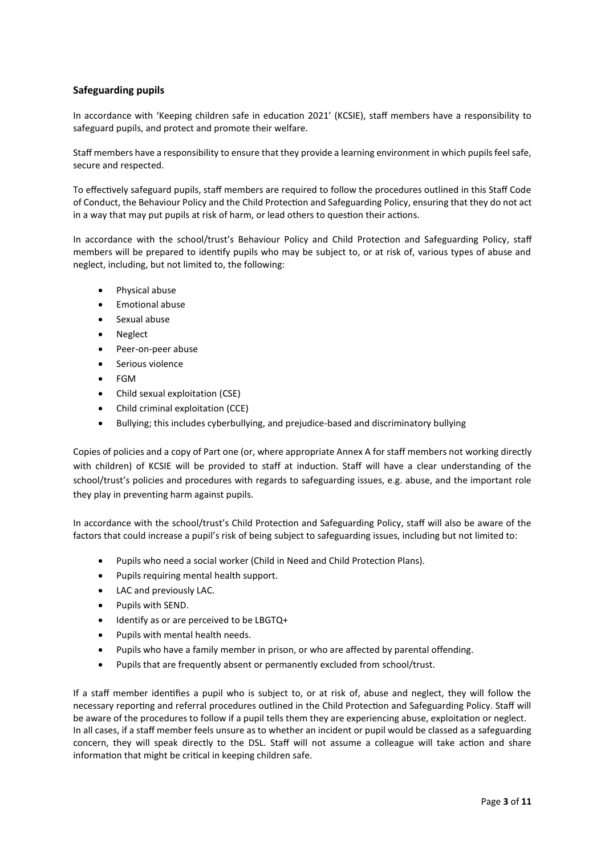## <span id="page-3-0"></span>**Safeguarding pupils**

In accordance with 'Keeping children safe in education 2021' (KCSIE), staff members have a responsibility to safeguard pupils, and protect and promote their welfare.

Staff members have a responsibility to ensure that they provide a learning environment in which pupils feel safe, secure and respected.

To effectively safeguard pupils, staff members are required to follow the procedures outlined in this Staff Code of Conduct, the Behaviour Policy and the Child Protection and Safeguarding Policy, ensuring that they do not act in a way that may put pupils at risk of harm, or lead others to question their actions.

In accordance with the school/trust's Behaviour Policy and Child Protection and Safeguarding Policy, staff members will be prepared to identify pupils who may be subject to, or at risk of, various types of abuse and neglect, including, but not limited to, the following:

- Physical abuse
- Emotional abuse
- Sexual abuse
- Neglect
- Peer-on-peer abuse
- Serious violence
- FGM
- Child sexual exploitation (CSE)
- Child criminal exploitation (CCE)
- Bullying; this includes cyberbullying, and prejudice-based and discriminatory bullying

Copies of policies and a copy of Part one (or, where appropriate Annex A for staff members not working directly with children) of KCSIE will be provided to staff at induction. Staff will have a clear understanding of the school/trust's policies and procedures with regards to safeguarding issues, e.g. abuse, and the important role they play in preventing harm against pupils.

In accordance with the school/trust's Child Protection and Safeguarding Policy, staff will also be aware of the factors that could increase a pupil's risk of being subject to safeguarding issues, including but not limited to:

- Pupils who need a social worker (Child in Need and Child Protection Plans).
- Pupils requiring mental health support.
- LAC and previously LAC.
- Pupils with SEND.
- Identify as or are perceived to be LBGTQ+
- Pupils with mental health needs.
- Pupils who have a family member in prison, or who are affected by parental offending.
- Pupils that are frequently absent or permanently excluded from school/trust.

If a staff member identifies a pupil who is subject to, or at risk of, abuse and neglect, they will follow the necessary reporting and referral procedures outlined in the Child Protection and Safeguarding Policy. Staff will be aware of the procedures to follow if a pupil tells them they are experiencing abuse, exploitation or neglect. In all cases, if a staff member feels unsure as to whether an incident or pupil would be classed as a safeguarding concern, they will speak directly to the DSL. Staff will not assume a colleague will take action and share information that might be critical in keeping children safe.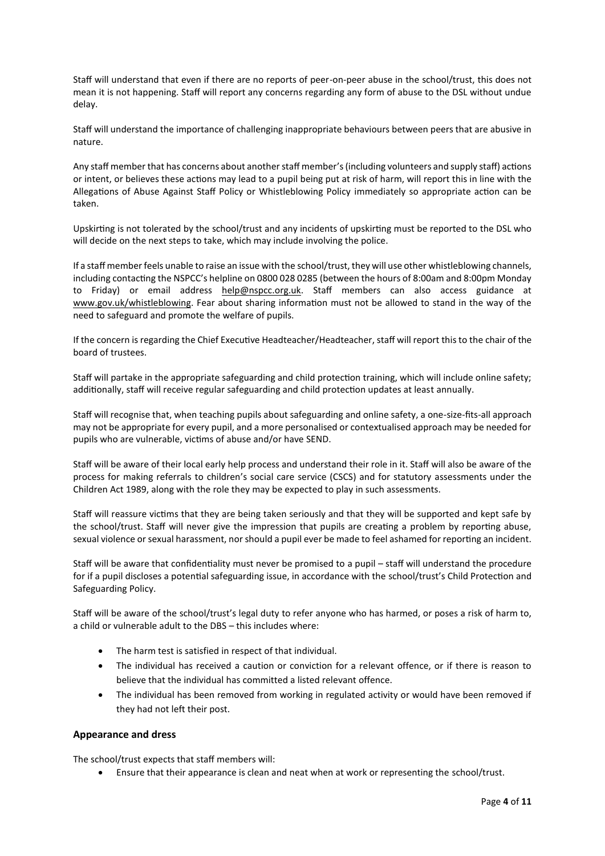Staff will understand that even if there are no reports of peer-on-peer abuse in the school/trust, this does not mean it is not happening. Staff will report any concerns regarding any form of abuse to the DSL without undue delay.

Staff will understand the importance of challenging inappropriate behaviours between peers that are abusive in nature.

Any staff member that has concerns about another staff member's (including volunteers and supply staff) actions or intent, or believes these actions may lead to a pupil being put at risk of harm, will report this in line with the Allegations of Abuse Against Staff Policy or Whistleblowing Policy immediately so appropriate action can be taken.

Upskirting is not tolerated by the school/trust and any incidents of upskirting must be reported to the DSL who will decide on the next steps to take, which may include involving the police.

If a staff member feels unable to raise an issue with the school/trust, they will use other whistleblowing channels, including contacting the NSPCC's helpline on 0800 028 0285 (between the hours of 8:00am and 8:00pm Monday to Friday) or email address [help@nspcc.org.uk.](mailto:help@nspcc.org.uk) Staff members can also access guidance at [www.gov.uk/whistleblowing.](https://www.gov.uk/whistleblowing) Fear about sharing information must not be allowed to stand in the way of the need to safeguard and promote the welfare of pupils.

If the concern is regarding the Chief Executive Headteacher/Headteacher, staff will report this to the chair of the board of trustees.

Staff will partake in the appropriate safeguarding and child protection training, which will include online safety; additionally, staff will receive regular safeguarding and child protection updates at least annually.

Staff will recognise that, when teaching pupils about safeguarding and online safety, a one-size-fits-all approach may not be appropriate for every pupil, and a more personalised or contextualised approach may be needed for pupils who are vulnerable, victims of abuse and/or have SEND.

Staff will be aware of their local early help process and understand their role in it. Staff will also be aware of the process for making referrals to children's social care service (CSCS) and for statutory assessments under the Children Act 1989, along with the role they may be expected to play in such assessments.

Staff will reassure victims that they are being taken seriously and that they will be supported and kept safe by the school/trust. Staff will never give the impression that pupils are creating a problem by reporting abuse, sexual violence or sexual harassment, nor should a pupil ever be made to feel ashamed for reporting an incident.

Staff will be aware that confidentiality must never be promised to a pupil – staff will understand the procedure for if a pupil discloses a potential safeguarding issue, in accordance with the school/trust's Child Protection and Safeguarding Policy.

Staff will be aware of the school/trust's legal duty to refer anyone who has harmed, or poses a risk of harm to, a child or vulnerable adult to the DBS – this includes where:

- The harm test is satisfied in respect of that individual.
- The individual has received a caution or conviction for a relevant offence, or if there is reason to believe that the individual has committed a listed relevant offence.
- The individual has been removed from working in regulated activity or would have been removed if they had not left their post.

#### <span id="page-4-0"></span>**Appearance and dress**

The school/trust expects that staff members will:

Ensure that their appearance is clean and neat when at work or representing the school/trust.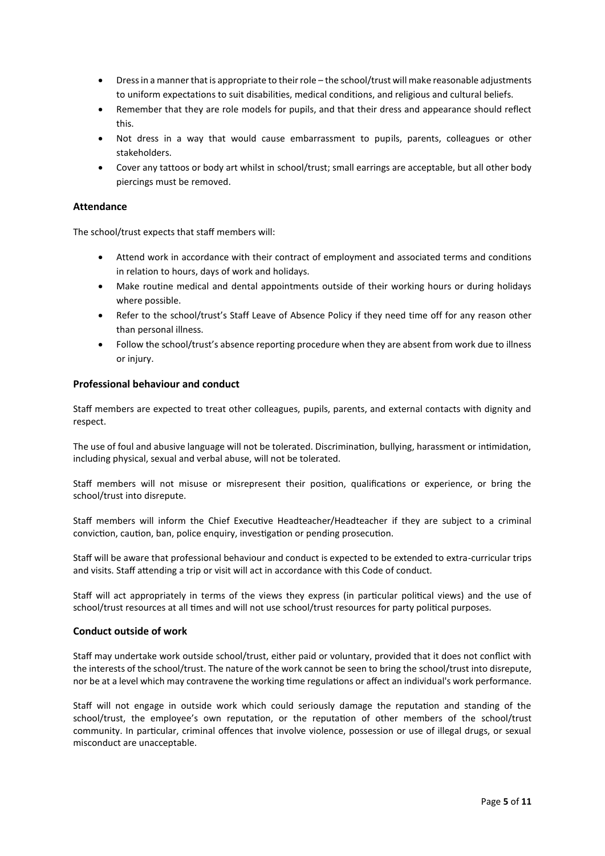- Dress in a manner that is appropriate to their role the school/trust will make reasonable adjustments to uniform expectations to suit disabilities, medical conditions, and religious and cultural beliefs.
- Remember that they are role models for pupils, and that their dress and appearance should reflect this.
- Not dress in a way that would cause embarrassment to pupils, parents, colleagues or other stakeholders.
- Cover any tattoos or body art whilst in school/trust; small earrings are acceptable, but all other body piercings must be removed.

## <span id="page-5-0"></span>**Attendance**

The school/trust expects that staff members will:

- Attend work in accordance with their contract of employment and associated terms and conditions in relation to hours, days of work and holidays.
- Make routine medical and dental appointments outside of their working hours or during holidays where possible.
- Refer to the school/trust's Staff Leave of Absence Policy if they need time off for any reason other than personal illness.
- Follow the school/trust's absence reporting procedure when they are absent from work due to illness or injury.

#### <span id="page-5-1"></span>**Professional behaviour and conduct**

Staff members are expected to treat other colleagues, pupils, parents, and external contacts with dignity and respect.

The use of foul and abusive language will not be tolerated. Discrimination, bullying, harassment or intimidation, including physical, sexual and verbal abuse, will not be tolerated.

Staff members will not misuse or misrepresent their position, qualifications or experience, or bring the school/trust into disrepute.

Staff members will inform the Chief Executive Headteacher/Headteacher if they are subject to a criminal conviction, caution, ban, police enquiry, investigation or pending prosecution.

Staff will be aware that professional behaviour and conduct is expected to be extended to extra-curricular trips and visits. Staff attending a trip or visit will act in accordance with this Code of conduct.

Staff will act appropriately in terms of the views they express (in particular political views) and the use of school/trust resources at all times and will not use school/trust resources for party political purposes.

#### <span id="page-5-2"></span>**Conduct outside of work**

Staff may undertake work outside school/trust, either paid or voluntary, provided that it does not conflict with the interests of the school/trust. The nature of the work cannot be seen to bring the school/trust into disrepute, nor be at a level which may contravene the working time regulations or affect an individual's work performance.

Staff will not engage in outside work which could seriously damage the reputation and standing of the school/trust, the employee's own reputation, or the reputation of other members of the school/trust community. In particular, criminal offences that involve violence, possession or use of illegal drugs, or sexual misconduct are unacceptable.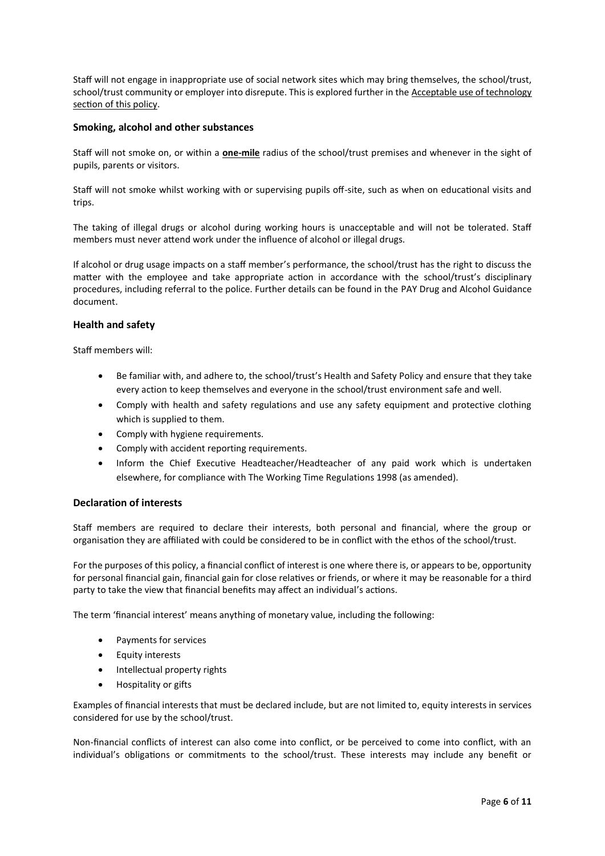Staff will not engage in inappropriate use of social network sites which may bring themselves, the school/trust, school/trust community or employer into disrepute. This is explored further in th[e Acceptable use of technology](#page-9-1) section of this policy.

### <span id="page-6-0"></span>**Smoking, alcohol and other substances**

Staff will not smoke on, or within a **one-mile** radius of the school/trust premises and whenever in the sight of pupils, parents or visitors.

Staff will not smoke whilst working with or supervising pupils off-site, such as when on educational visits and trips.

The taking of illegal drugs or alcohol during working hours is unacceptable and will not be tolerated. Staff members must never attend work under the influence of alcohol or illegal drugs.

If alcohol or drug usage impacts on a staff member's performance, the school/trust has the right to discuss the matter with the employee and take appropriate action in accordance with the school/trust's disciplinary procedures, including referral to the police. Further details can be found in the PAY Drug and Alcohol Guidance document.

## <span id="page-6-1"></span>**Health and safety**

Staff members will:

- Be familiar with, and adhere to, the school/trust's Health and Safety Policy and ensure that they take every action to keep themselves and everyone in the school/trust environment safe and well.
- Comply with health and safety regulations and use any safety equipment and protective clothing which is supplied to them.
- Comply with hygiene requirements.
- Comply with accident reporting requirements.
- Inform the Chief Executive Headteacher/Headteacher of any paid work which is undertaken elsewhere, for compliance with The Working Time Regulations 1998 (as amended).

#### <span id="page-6-2"></span>**Declaration of interests**

Staff members are required to declare their interests, both personal and financial, where the group or organisation they are affiliated with could be considered to be in conflict with the ethos of the school/trust.

For the purposes of this policy, a financial conflict of interest is one where there is, or appears to be, opportunity for personal financial gain, financial gain for close relatives or friends, or where it may be reasonable for a third party to take the view that financial benefits may affect an individual's actions.

The term 'financial interest' means anything of monetary value, including the following:

- Payments for services
- Equity interests
- Intellectual property rights
- Hospitality or gifts

Examples of financial interests that must be declared include, but are not limited to, equity interests in services considered for use by the school/trust.

Non-financial conflicts of interest can also come into conflict, or be perceived to come into conflict, with an individual's obligations or commitments to the school/trust. These interests may include any benefit or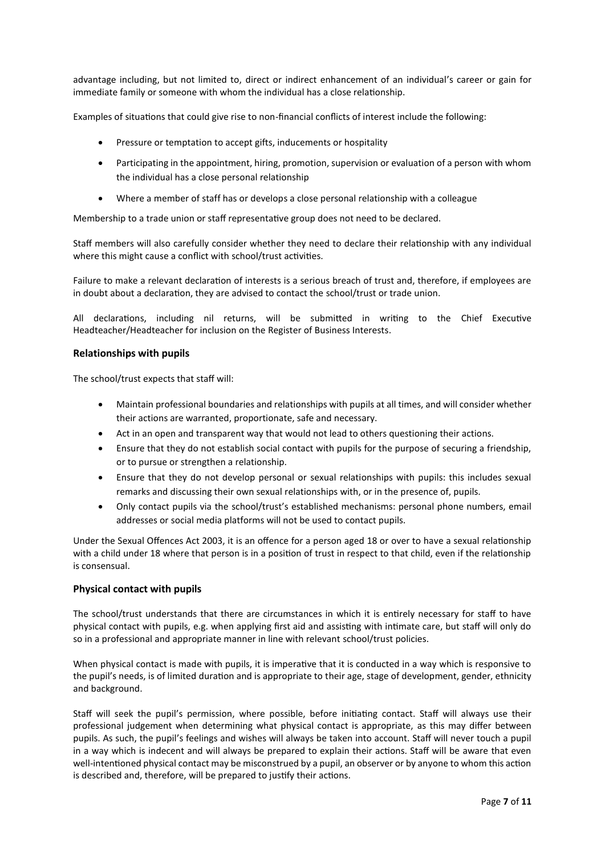advantage including, but not limited to, direct or indirect enhancement of an individual's career or gain for immediate family or someone with whom the individual has a close relationship.

Examples of situations that could give rise to non-financial conflicts of interest include the following:

- Pressure or temptation to accept gifts, inducements or hospitality
- Participating in the appointment, hiring, promotion, supervision or evaluation of a person with whom the individual has a close personal relationship
- Where a member of staff has or develops a close personal relationship with a colleague

Membership to a trade union or staff representative group does not need to be declared.

Staff members will also carefully consider whether they need to declare their relationship with any individual where this might cause a conflict with school/trust activities.

Failure to make a relevant declaration of interests is a serious breach of trust and, therefore, if employees are in doubt about a declaration, they are advised to contact the school/trust or trade union.

All declarations, including nil returns, will be submitted in writing to the Chief Executive Headteacher/Headteacher for inclusion on the Register of Business Interests.

#### <span id="page-7-0"></span>**Relationships with pupils**

The school/trust expects that staff will:

- Maintain professional boundaries and relationships with pupils at all times, and will consider whether their actions are warranted, proportionate, safe and necessary.
- Act in an open and transparent way that would not lead to others questioning their actions.
- Ensure that they do not establish social contact with pupils for the purpose of securing a friendship, or to pursue or strengthen a relationship.
- Ensure that they do not develop personal or sexual relationships with pupils: this includes sexual remarks and discussing their own sexual relationships with, or in the presence of, pupils.
- Only contact pupils via the school/trust's established mechanisms: personal phone numbers, email addresses or social media platforms will not be used to contact pupils.

Under the Sexual Offences Act 2003, it is an offence for a person aged 18 or over to have a sexual relationship with a child under 18 where that person is in a position of trust in respect to that child, even if the relationship is consensual.

#### **Physical contact with pupils**

The school/trust understands that there are circumstances in which it is entirely necessary for staff to have physical contact with pupils, e.g. when applying first aid and assisting with intimate care, but staff will only do so in a professional and appropriate manner in line with relevant school/trust policies.

When physical contact is made with pupils, it is imperative that it is conducted in a way which is responsive to the pupil's needs, is of limited duration and is appropriate to their age, stage of development, gender, ethnicity and background.

Staff will seek the pupil's permission, where possible, before initiating contact. Staff will always use their professional judgement when determining what physical contact is appropriate, as this may differ between pupils. As such, the pupil's feelings and wishes will always be taken into account. Staff will never touch a pupil in a way which is indecent and will always be prepared to explain their actions. Staff will be aware that even well-intentioned physical contact may be misconstrued by a pupil, an observer or by anyone to whom this action is described and, therefore, will be prepared to justify their actions.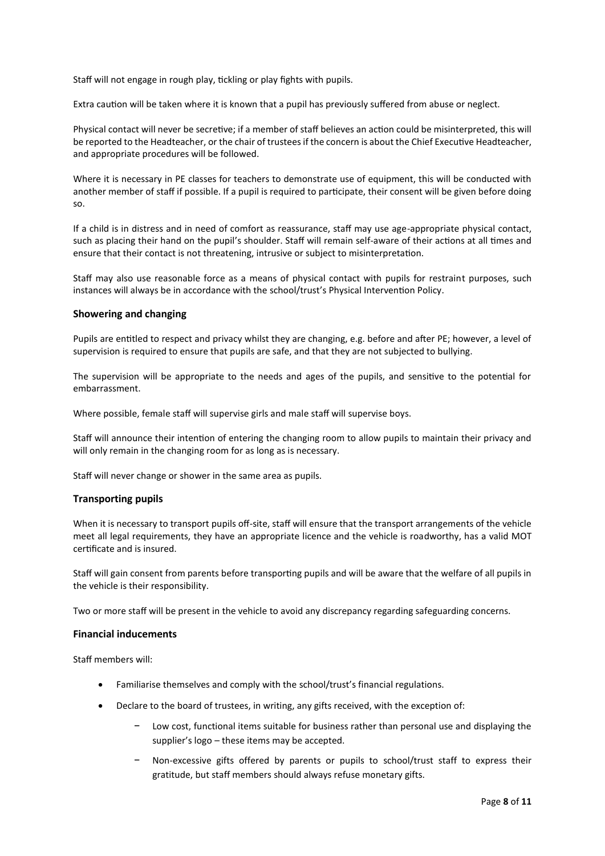Staff will not engage in rough play, tickling or play fights with pupils.

Extra caution will be taken where it is known that a pupil has previously suffered from abuse or neglect.

Physical contact will never be secretive; if a member of staff believes an action could be misinterpreted, this will be reported to the Headteacher, or the chair of trustees if the concern is about the Chief Executive Headteacher, and appropriate procedures will be followed.

Where it is necessary in PE classes for teachers to demonstrate use of equipment, this will be conducted with another member of staff if possible. If a pupil is required to participate, their consent will be given before doing so.

If a child is in distress and in need of comfort as reassurance, staff may use age-appropriate physical contact, such as placing their hand on the pupil's shoulder. Staff will remain self-aware of their actions at all times and ensure that their contact is not threatening, intrusive or subject to misinterpretation.

Staff may also use reasonable force as a means of physical contact with pupils for restraint purposes, such instances will always be in accordance with the school/trust's Physical Intervention Policy.

#### <span id="page-8-0"></span>**Showering and changing**

Pupils are entitled to respect and privacy whilst they are changing, e.g. before and after PE; however, a level of supervision is required to ensure that pupils are safe, and that they are not subjected to bullying.

The supervision will be appropriate to the needs and ages of the pupils, and sensitive to the potential for embarrassment.

Where possible, female staff will supervise girls and male staff will supervise boys.

Staff will announce their intention of entering the changing room to allow pupils to maintain their privacy and will only remain in the changing room for as long as is necessary.

<span id="page-8-1"></span>Staff will never change or shower in the same area as pupils.

#### **Transporting pupils**

When it is necessary to transport pupils off-site, staff will ensure that the transport arrangements of the vehicle meet all legal requirements, they have an appropriate licence and the vehicle is roadworthy, has a valid MOT certificate and is insured.

Staff will gain consent from parents before transporting pupils and will be aware that the welfare of all pupils in the vehicle is their responsibility.

<span id="page-8-2"></span>Two or more staff will be present in the vehicle to avoid any discrepancy regarding safeguarding concerns.

#### **Financial inducements**

Staff members will:

- Familiarise themselves and comply with the school/trust's financial regulations.
- Declare to the board of trustees, in writing, any gifts received, with the exception of:
	- Low cost, functional items suitable for business rather than personal use and displaying the supplier's logo – these items may be accepted.
	- Non-excessive gifts offered by parents or pupils to school/trust staff to express their gratitude, but staff members should always refuse monetary gifts.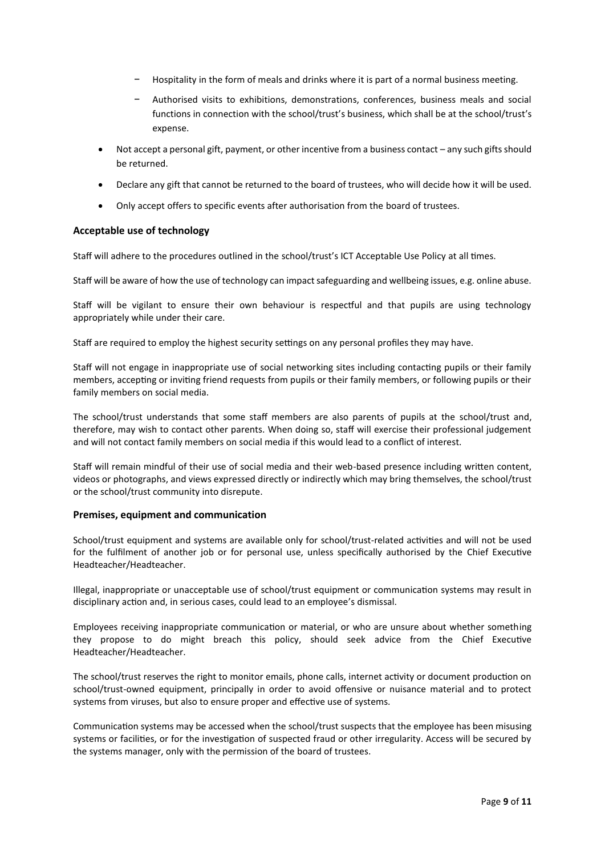- − Hospitality in the form of meals and drinks where it is part of a normal business meeting.
- − Authorised visits to exhibitions, demonstrations, conferences, business meals and social functions in connection with the school/trust's business, which shall be at the school/trust's expense.
- Not accept a personal gift, payment, or other incentive from a business contact any such gifts should be returned.
- Declare any gift that cannot be returned to the board of trustees, who will decide how it will be used.
- Only accept offers to specific events after authorisation from the board of trustees.

## <span id="page-9-1"></span>**Acceptable use of technology**

Staff will adhere to the procedures outlined in the school/trust's ICT Acceptable Use Policy at all times.

Staff will be aware of how the use of technology can impact safeguarding and wellbeing issues, e.g. online abuse.

Staff will be vigilant to ensure their own behaviour is respectful and that pupils are using technology appropriately while under their care.

Staff are required to employ the highest security settings on any personal profiles they may have.

Staff will not engage in inappropriate use of social networking sites including contacting pupils or their family members, accepting or inviting friend requests from pupils or their family members, or following pupils or their family members on social media.

The school/trust understands that some staff members are also parents of pupils at the school/trust and, therefore, may wish to contact other parents. When doing so, staff will exercise their professional judgement and will not contact family members on social media if this would lead to a conflict of interest.

Staff will remain mindful of their use of social media and their web-based presence including written content, videos or photographs, and views expressed directly or indirectly which may bring themselves, the school/trust or the school/trust community into disrepute.

#### <span id="page-9-0"></span>**Premises, equipment and communication**

School/trust equipment and systems are available only for school/trust-related activities and will not be used for the fulfilment of another job or for personal use, unless specifically authorised by the Chief Executive Headteacher/Headteacher.

Illegal, inappropriate or unacceptable use of school/trust equipment or communication systems may result in disciplinary action and, in serious cases, could lead to an employee's dismissal.

Employees receiving inappropriate communication or material, or who are unsure about whether something they propose to do might breach this policy, should seek advice from the Chief Executive Headteacher/Headteacher.

The school/trust reserves the right to monitor emails, phone calls, internet activity or document production on school/trust-owned equipment, principally in order to avoid offensive or nuisance material and to protect systems from viruses, but also to ensure proper and effective use of systems.

Communication systems may be accessed when the school/trust suspects that the employee has been misusing systems or facilities, or for the investigation of suspected fraud or other irregularity. Access will be secured by the systems manager, only with the permission of the board of trustees.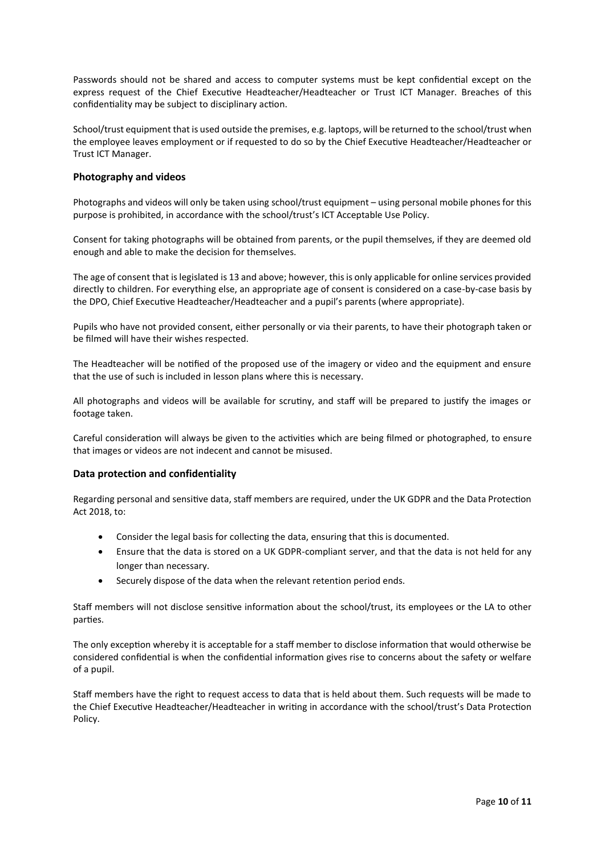Passwords should not be shared and access to computer systems must be kept confidential except on the express request of the Chief Executive Headteacher/Headteacher or Trust ICT Manager. Breaches of this confidentiality may be subject to disciplinary action.

School/trust equipment that is used outside the premises, e.g. laptops, will be returned to the school/trust when the employee leaves employment or if requested to do so by the Chief Executive Headteacher/Headteacher or Trust ICT Manager.

### <span id="page-10-0"></span>**Photography and videos**

Photographs and videos will only be taken using school/trust equipment – using personal mobile phones for this purpose is prohibited, in accordance with the school/trust's ICT Acceptable Use Policy.

Consent for taking photographs will be obtained from parents, or the pupil themselves, if they are deemed old enough and able to make the decision for themselves.

The age of consent that is legislated is 13 and above; however, this is only applicable for online services provided directly to children. For everything else, an appropriate age of consent is considered on a case-by-case basis by the DPO, Chief Executive Headteacher/Headteacher and a pupil's parents (where appropriate).

Pupils who have not provided consent, either personally or via their parents, to have their photograph taken or be filmed will have their wishes respected.

The Headteacher will be notified of the proposed use of the imagery or video and the equipment and ensure that the use of such is included in lesson plans where this is necessary.

All photographs and videos will be available for scrutiny, and staff will be prepared to justify the images or footage taken.

Careful consideration will always be given to the activities which are being filmed or photographed, to ensure that images or videos are not indecent and cannot be misused.

#### <span id="page-10-1"></span>**Data protection and confidentiality**

Regarding personal and sensitive data, staff members are required, under the UK GDPR and the Data Protection Act 2018, to:

- Consider the legal basis for collecting the data, ensuring that this is documented.
- Ensure that the data is stored on a UK GDPR-compliant server, and that the data is not held for any longer than necessary.
- Securely dispose of the data when the relevant retention period ends.

Staff members will not disclose sensitive information about the school/trust, its employees or the LA to other parties.

The only exception whereby it is acceptable for a staff member to disclose information that would otherwise be considered confidential is when the confidential information gives rise to concerns about the safety or welfare of a pupil.

<span id="page-10-2"></span>Staff members have the right to request access to data that is held about them. Such requests will be made to the Chief Executive Headteacher/Headteacher in writing in accordance with the school/trust's Data Protection Policy.